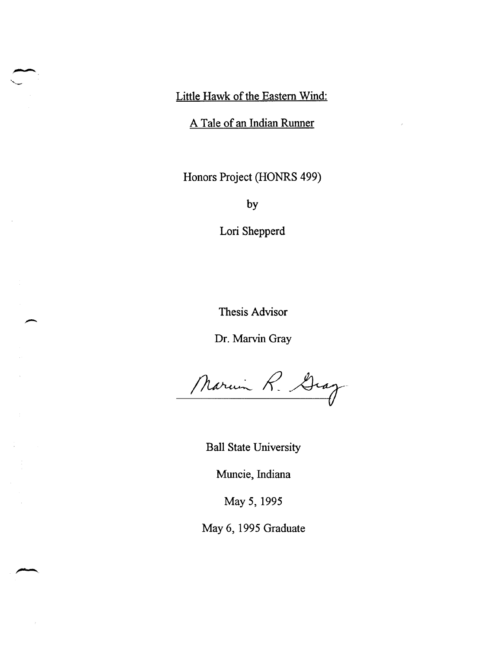Little Hawk of the Eastern Wind:

A Tale of an Indian Runner

Honors Project (HONRS 499)

by

Lori Shepperd

Thesis Advisor

Dr. Marvin Gray

Marin R. Gray

Ball State University

Muncie, Indiana

May 5,1995

May 6, 1995 Graduate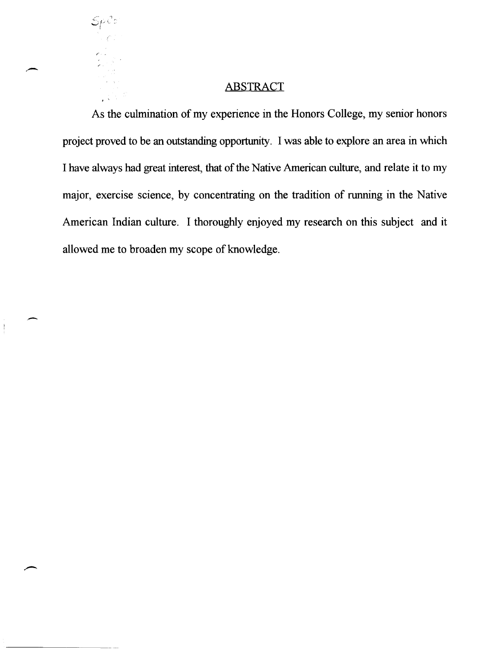# **ABSTRACT**

 $\mathcal{S} \rho$ icio

. '

,.-

 $\begin{array}{c} \rule{0pt}{2ex} \rule{0pt}{2ex} \rule{0pt}{2ex} \rule{0pt}{2ex} \rule{0pt}{2ex} \rule{0pt}{2ex} \rule{0pt}{2ex} \rule{0pt}{2ex} \rule{0pt}{2ex} \rule{0pt}{2ex} \rule{0pt}{2ex} \rule{0pt}{2ex} \rule{0pt}{2ex} \rule{0pt}{2ex} \rule{0pt}{2ex} \rule{0pt}{2ex} \rule{0pt}{2ex} \rule{0pt}{2ex} \rule{0pt}{2ex} \rule{0pt}{2ex} \rule{0pt}{2ex} \rule{0pt}{2ex} \rule{0pt}{2ex} \rule{0pt}{$ 

As the culmination of my experience in the Honors College, my senior honors project proved to be an outstanding opportunity. I was able to explore an area in which I have always had great interest, that of the Native American culture, and relate it to my major, exercise science, by concentrating on the tradition of running in the Native American Indian culture. I thoroughly enjoyed my research on this subject and it allowed me to broaden my scope of knowledge.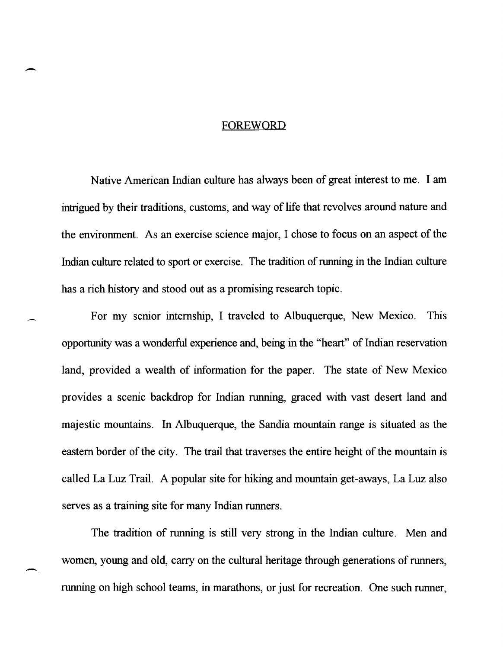### FOREWORD

-

-

Native American Indian culture has always been of great interest to me. I am intrigued by their traditions, customs, and way of life that revolves around nature and the environment. As an exercise science major, I chose to focus on an aspect of the Indian culture related to sport or exercise. The tradition of running in the Indian culture has a rich history and stood out as a promising research topic.

For my senior internship, I traveled to Albuquerque, New Mexico. This opportunity was a wonderful experience and, being in the "heart" of Indian reservation land, provided a wealth of information for the paper. The state of New Mexico provides a scenic backdrop for Indian running, graced with vast desert land and majestic mountains. In Albuquerque, the Sandia mountain range is situated as the eastern border of the city. The trail that traverses the entire height of the mountain is called La Luz Trail. A popular site for hiking and mountain get-aways, La Luz also serves as a training site for many Indian runners.

The tradition of running is still very strong in the Indian culture. Men and women, young and old, carry on the cultural heritage through generations of runners, running on high school teams, in marathons, or just for recreation. One such runner,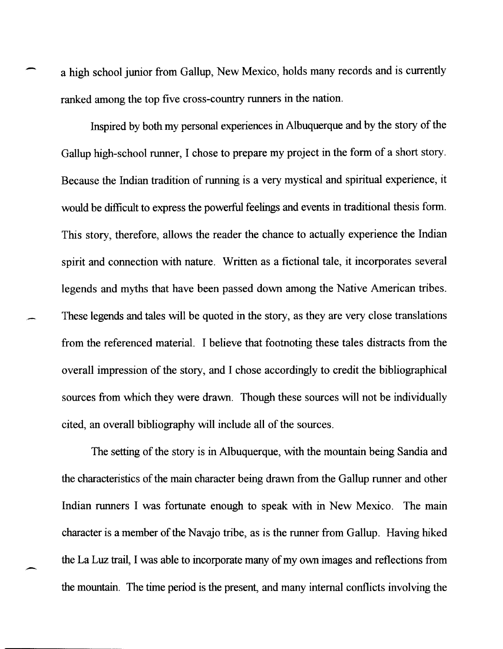a high school junior from Gallup, New Mexico, holds many records and is currently ranked among the top five cross-country runners in the nation.

Inspired by both my personal experiences in Albuquerque and by the story of the Gallup high-school runner, I chose to prepare my project in the form of a short story. Because the Indian tradition of running is a very mystical and spiritual experience, it would be difficult to express the powerful feelings and events in traditional thesis form. This story, therefore, allows the reader the chance to actually experience the Indian spirit and connection with nature. Written as a fictional tale, it incorporates several legends and myths that have been passed down among the Native American tribes. These legends and tales will be quoted in the story, as they are very close translations from the referenced material. I believe that footnoting these tales distracts from the overall impression of the story, and I chose accordingly to credit the bibliographical sources from which they were drawn. Though these sources will not be individually cited, an overall bibliography will include all of the sources.

The setting of the story is in Albuquerque, with the mountain being Sandia and the characteristics of the main character being drawn from the Gallup runner and other Indian runners I was fortunate enough to speak with in New Mexico. The main character is a member of the Navajo tribe, as is the runner from Gallup. Having hiked the La Luz trail, I was able to incorporate many of my own images and reflections from the mountain. The time period is the present, and many internal conflicts involving the

--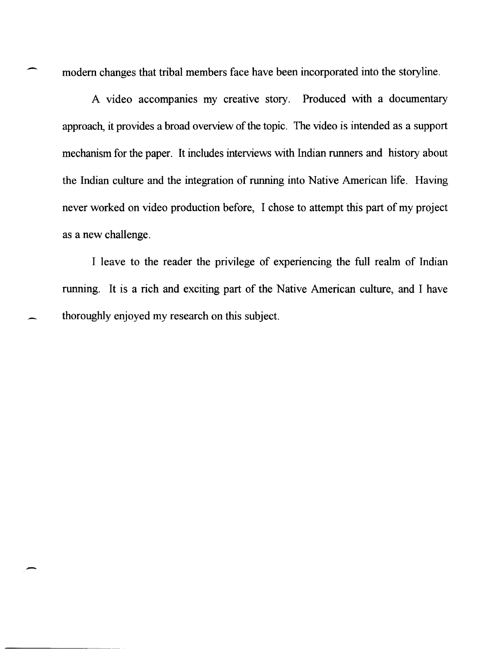modem changes that tribal members face have been incorporated into the storyline.

A video accompanies my creative story. Produced with a documentary approach, it provides a broad overview of the topic. The video is intended as a support mechanism for the paper. It includes interviews with Indian runners and history about the Indian culture and the integration of running into Native American life. Having never worked on video production before, I chose to attempt this part of my project as a new challenge.

I leave to the reader the privilege of experiencing the full realm of Indian running. It is a rich and exciting part of the Native American culture, and I have thoroughly enjoyed my research on this subject.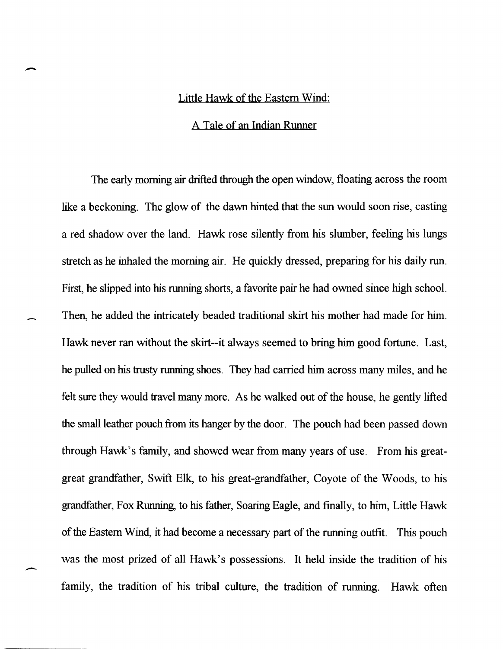### Little Hawk of the Eastern Wind:

-

-

### A Tale of an Indian Runner

The early morning air drifted through the open window, floating across the room like a beckoning. The glow of the dawn hinted that the sun would soon rise, casting a red shadow over the land. Hawk rose silently from his slumber, feeling his lungs stretch as he inhaled the morning air. He quickly dressed, preparing for his daily run. First, he slipped into his running shorts, a favorite pair he had owned since high school. Then, he added the intricately beaded traditional skirt his mother had made for him. Hawk never ran without the skirt--it always seemed to bring him good fortune. Last, he pulled on his trusty running shoes. They had carried him across many miles, and he felt sure they would travel many more. As he walked out of the house, he gently lifted the small leather pouch from its hanger by the door. The pouch had been passed down through Hawk's family, and showed wear from many years of use. From his greatgreat grandfather, Swift Elk, to his great-grandfather, Coyote of the Woods, to his grandfather, Fox Running, to his father, Soaring Eagle, and [mally, to him, Little Hawk of the Eastern Wind, it had become a necessary part of the running outfit. This pouch was the most prized of all Hawk's possessions. It held inside the tradition of his family, the tradition of his tribal culture, the tradition of running. Hawk often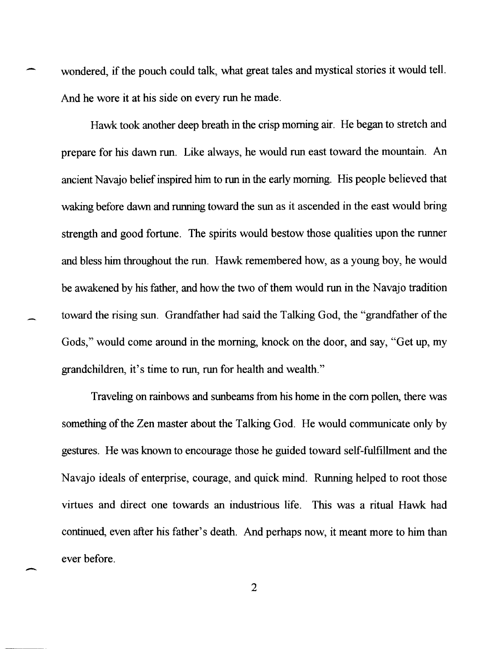wondered, if the pouch could talk, what great tales and mystical stories it would tell. And he wore it at his side on every run he made.

-

-

Hawk took another deep breath in the crisp morning air. He began to stretch and prepare for his dawn run. Like always, he would run east toward the mountain. An ancient Navajo belief inspired him to run in the early morning. His people believed that waking before dawn and running toward the sun as it ascended in the east would bring strength and good fortune. The spirits would bestow those qualities upon the runner and bless him throughout the run. Hawk remembered how, as a young boy, he would be awakened by his father, and how the two of them would run in the Navajo tradition toward the rising sun. Grandfather had said the Talking God, the "grandfather of the Gods," would come around in the morning, knock on the door, and say, "Get up, my grandchildren, it's time to run, run for health and wealth."

Traveling on rainbows and sunbeams from his home in the com pollen, there was something of the Zen master about the Talking God. He would communicate only by gestures. He was known to encourage those he guided toward self-fulfillment and the Navajo ideals of enterprise, courage, and quick mind. Running helped to root those virtues and direct one towards an industrious life. This was a ritual Hawk had continued, even after his father's death. And perhaps now, it meant more to him than ever before.

2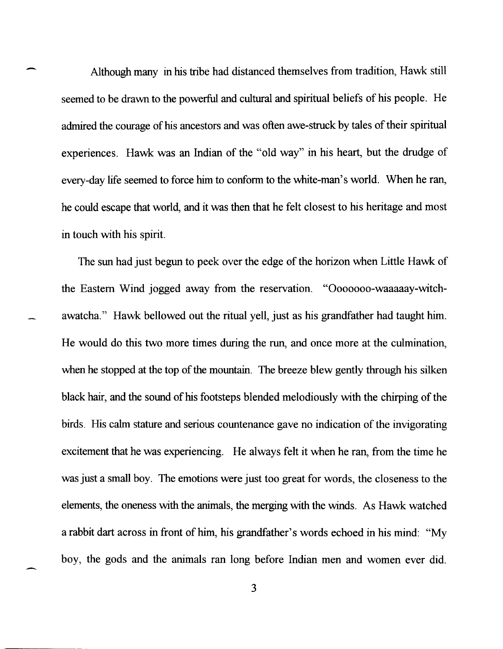Although many in his tribe had distanced themselves from tradition, Hawk still seemed to be drawn to the powerful and cultural and spiritual beliefs of his people. He admired the courage of his ancestors and was often awe-struck by tales of their spiritual experiences. Hawk was an Indian of the "old way" in his heart, but the drudge of every-day life seemed to force him to conform to the white-man's world. When he ran, he could escape that world, and it was then that he felt closest to his heritage and most in touch with his spirit.

The sun had just begun to peek over the edge of the horizon when Little Hawk of the Eastern Wind jogged away from the reservation. "Ooooooo-waaaaay-witchawatcha." Hawk bellowed out the ritual yell, just as his grandfather had taught him. He would do this two more times during the run, and once more at the culmination, when he stopped at the top of the mountain. The breeze blew gently through his silken black hair, and the sound of his footsteps blended melodiously with the chirping of the birds. His calm stature and serious countenance gave no indication of the invigorating excitement that he was experiencing. He always felt it when he ran, from the time he was just a small boy. The emotions were just too great for words, the closeness to the elements, the oneness with the animals, the merging with the winds. As Hawk watched a rabbit dart across in front of him, his grandfather's words echoed in his mind: "My boy, the gods and the animals ran long before Indian men and women ever did.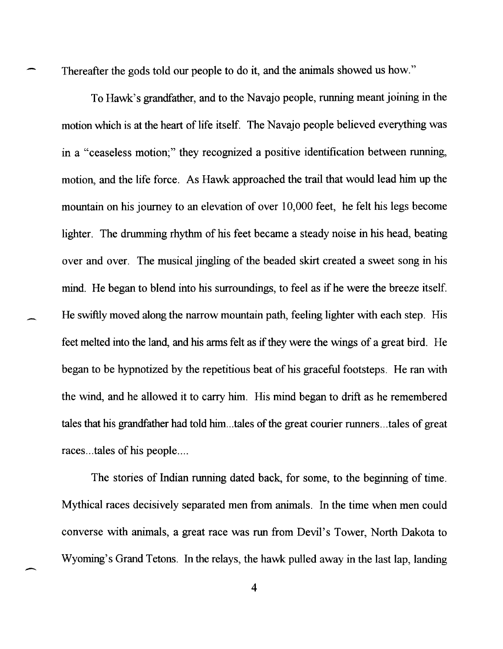Thereafter the gods told our people to do it, and the animals showed us how."

To Hawk's grandfather, and to the Navajo people, running meant joining in the motion which is at the heart of life itself. The Navajo people believed everything was in a "ceaseless motion;" they recognized a positive identification between running, motion, and the life force. As Hawk approached the trail that would lead him up the mountain on his journey to an elevation of over 10,000 feet, he felt his legs become lighter. The drumming rhythm of his feet became a steady noise in his head, beating over and over. The musical jingling of the beaded skirt created a sweet song in his mind. He began to blend into his surroundings, to feel as if he were the breeze itself. He swiftly moved along the narrow mountain path, feeling lighter with each step. His feet melted into the land, and his arms felt as if they were the wings of a great bird. He began to be hypnotized by the repetitious beat of his graceful footsteps. He ran with the wind, and he allowed it to carry him. His mind began to drift as he remembered tales that his grandfather had told him ... tales of the great courier runners ... tales of great races...tales of his people....

The stories of Indian running dated back, for some, to the beginning of time. Mythical races decisively separated men from animals. In the time when men could converse with animals, a great race was run from Devil's Tower, North Dakota to Wyoming's Grand Tetons. In the relays, the hawk pulled away in the last lap, landing

 $\overline{\phantom{a}}$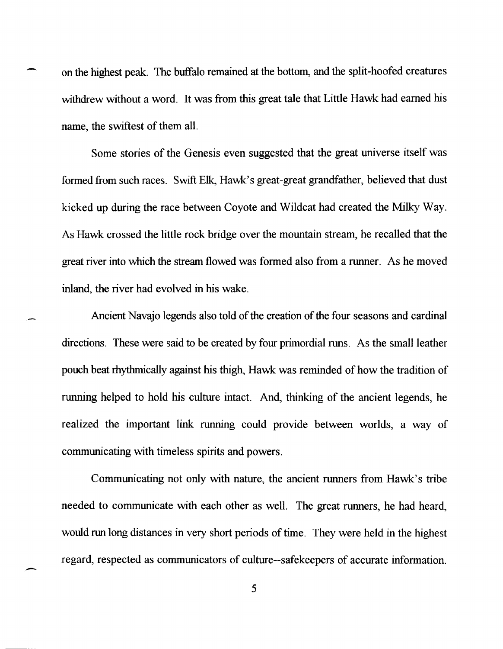on the highest peak. The buffalo remained at the bottom, and the split-hoofed creatures withdrew without a word. It was from this great tale that Little Hawk had earned his name, the swiftest of them all.

Some stories of the Genesis even suggested that the great universe itself was formed from such races. Swift Elk, Hawk's great-great grandfather, believed that dust kicked up during the race between Coyote and Wildcat had created the Milky Way. As Hawk crossed the little rock bridge over the mountain stream, he recalled that the great river into which the stream flowed was formed also from a runner. As he moved inland, the river had evolved in his wake.

Ancient Navajo legends also told of the creation of the four seasons and cardinal directions. These were said to be created by four primordial runs. As the small leather pouch beat rhythmically against his thigh, Hawk was reminded of how the tradition of running helped to hold his culture intact. And, thinking of the ancient legends, he realized the important link running could provide between worlds, a way of communicating with timeless spirits and powers.

Communicating not only with nature, the ancient runners from Hawk's tribe needed to communicate with each other as well. The great runners, he had heard, would run long distances in very short periods of time. They were held in the highest regard, respected as communicators of culture--safekeepers of accurate information.

5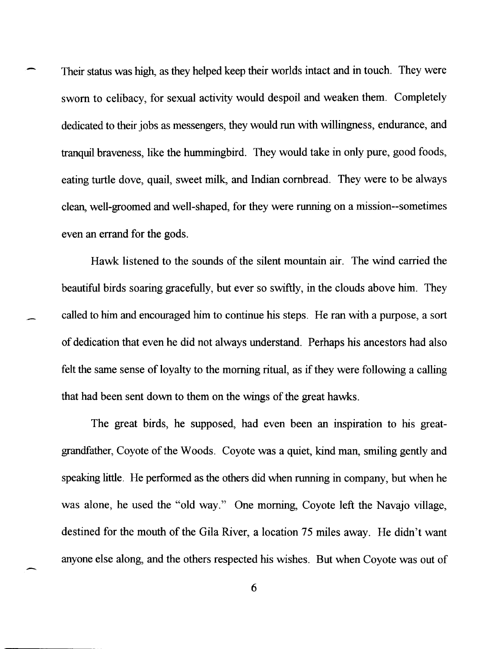Their status was high, as they helped keep their worlds intact and in touch. They were sworn to celibacy, for sexual activity would despoil and weaken them. Completely dedicated to their jobs as messengers, they would run with willingness, endurance, and tranquil braveness, like the hummingbird. They would take in only pure, good foods, eating turtle dove, quail, sweet milk, and Indian cornbread. They were to be always clean, well-groomed and well-shaped, for they were running on a mission--sometimes even an errand for the gods.

Hawk listened to the sounds of the silent mountain air. The wind carried the beautiful birds soaring gracefully, but ever so swiftly, in the clouds above him. They called to him and encouraged him to continue his steps. He ran with a purpose, a sort of dedication that even he did not always understand. Perhaps his ancestors had also felt the same sense of loyalty to the morning ritual, as if they were following a calling that had been sent down to them on the wings of the great hawks.

The great birds, he supposed, had even been an inspiration to his greatgrandfather, Coyote of the Woods. Coyote was a quiet, kind man, smiling gently and speaking little. He performed as the others did when running in company, but when he was alone, he used the "old way." One morning, Coyote left the Navajo village, destined for the mouth of the Gila River, a location 75 miles away. He didn't want anyone else along, and the others respected his wishes. But when Coyote was out of

6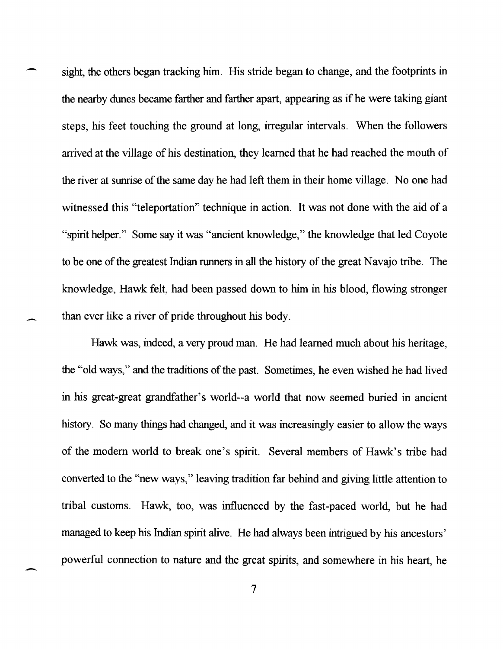sight, the others began tracking him. His stride began to change, and the footprints in the nearby dunes became farther and farther apart, appearing as if he were taking giant steps, his feet touching the ground at long, irregular intervals. When the followers arrived at the village of his destination, they learned that he had reached the mouth of the river at sunrise of the same day he had left them in their home village. No one had witnessed this "teleportation" technique in action. It was not done with the aid of a "spirit helper." Some say it was "ancient knowledge," the knowledge that led Coyote to be one of the greatest Indian runners in all the history of the great Navajo tribe. The knowledge, Hawk felt, had been passed down to him in his blood, flowing stronger than ever like a river of pride throughout his body.

-

-

-

Hawk was, indeed, a very proud man. He had learned much about his heritage, the "old ways," and the traditions of the past. Sometimes, he even wished he had lived in his great-great grandfather's world--a world that now seemed buried in ancient history. So many things had changed, and it was increasingly easier to allow the ways of the modem world to break one's spirit. Several members of Hawk's tribe had converted to the "new ways," leaving tradition far behind and giving little attention to tribal customs. Hawk, too, was influenced by the fast-paced world, but he had managed to keep his Indian spirit alive. He had always been intrigued by his ancestors' powerful connection to nature and the great spirits, and somewhere in his heart, he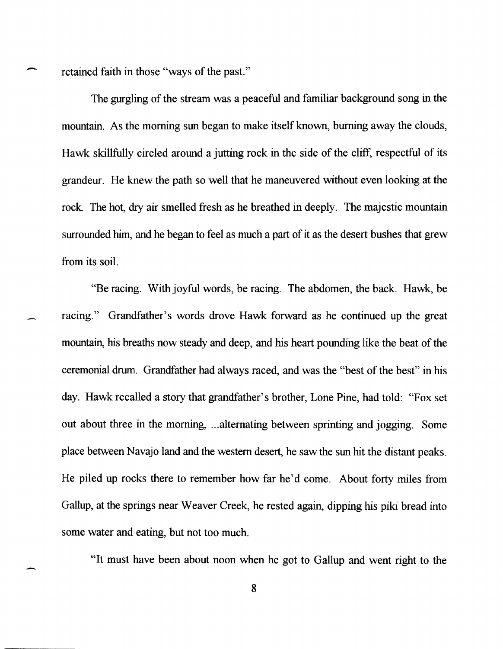retained faith in those "ways of the past."

-

-

The gurgling of the stream was a peaceful and familiar background song in the mountain. As the morning sun began to make itself known, burning away the clouds, Hawk skillfully circled around a jutting rock in the side of the cliff, respectful of its grandeur. He knew the path so well that he maneuvered without even looking at the rock. The hot, dry air smelled fresh as he breathed in deeply. The majestic mountain surrounded him, and he began to feel as much a part of it as the desert bushes that grew from its soil.

"Be racing. With joyful words, be racing. The abdomen, the back. Hawk, be racing." Grandfather's words drove Hawk forward as he continued up the great mountain, his breaths now steady and deep, and his heart pounding like the beat of the ceremonial drum. Grandfather had always raced, and was the "best of the best" in his day. Hawk recalled a story that grandfather's brother, Lone Pine, had told: "Fox set out about three in the morning, ... alternating between sprinting and jogging. Some place between Navajo land and the western desert, he saw the sun hit the distant peaks. He piled up rocks there to remember how far he'd come. About forty miles from Gallup, at the springs near Weaver Creek, he rested again, dipping his piki bread into some water and eating, but not too much.

"It must have been about noon when he got to Gallup and went right to the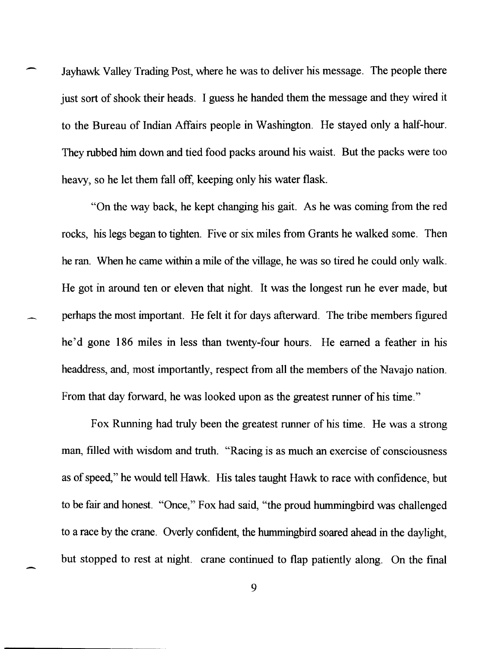Jayhawk Valley Trading Post, where he was to deliver his message. The people there just sort of shook their heads. I guess he handed them the message and they wired it to the Bureau of Indian Affairs people in Washington. He stayed only a half-hour. They rubbed him down and tied food packs around his waist. But the packs were too heavy, so he let them fall off, keeping only his water flask.

"On the way back, he kept changing his gait. As he was coming from the red rocks, his legs began to tighten. Five or six miles from Grants he walked some. Then he ran. When he came within a mile of the village, he was so tired he could only walk. He got in around ten or eleven that night. It was the longest run he ever made, but perhaps the most important. He felt it for days afterward. The tribe members figured he'd gone 186 miles in less than twenty-four hours. He earned a feather in his headdress, and, most importantly, respect from all the members of the Navajo nation. From that day forward, he was looked upon as the greatest runner of his time."

Fox Running had truly been the greatest runner of his time. He was a strong man, filled with wisdom and truth. "Racing is as much an exercise of consciousness as of speed," he would tell Hawk. His tales taught Hawk to race with confidence, but to be fair and honest. "Once," Fox had said, "the proud hummingbird was challenged to a race by the crane. Overly confident, the hummingbird soared ahead in the daylight, but stopped to rest at night. crane continued to flap patiently along. On the fmal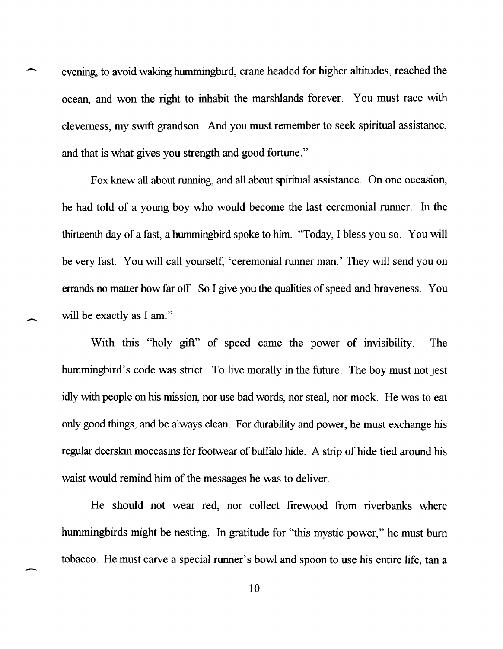evening, to avoid waking hummingbird, crane headed for higher altitudes, reached the ocean, and won the right to inhabit the marshlands forever. You must race with cleverness, my swift grandson. And you must remember to seek spiritual assistance, and that is what gives you strength and good fortune."

Fox knew all about running, and all about spiritual assistance. On one occasion, he had told of a young boy who would become the last ceremonial runner. In the thirteenth day of a fast, a hummingbird spoke to him. "Today, I bless you so. You will be very fast. You will call yourself, 'ceremonial runner man.' They will send you on errands no matter how far off. So I give you the qualities of speed and braveness. You will be exactly as I am."

-

With this "holy gift" of speed came the power of invisibility. The hummingbird's code was strict: To live morally in the future. The boy must not jest idly with people on his mission, nor use bad words, nor steal, nor mock. He was to eat only good things, and be always clean. For durability and power, he must exchange his regular deerskin moccasins for footwear of buffalo hide. A strip of hide tied around his waist would remind him of the messages he was to deliver.

He should not wear red, nor collect firewood from riverbanks where hummingbirds might be nesting. In gratitude for "this mystic power," he must burn tobacco. He must carve a special runner's bowl and spoon to use his entire life, tan a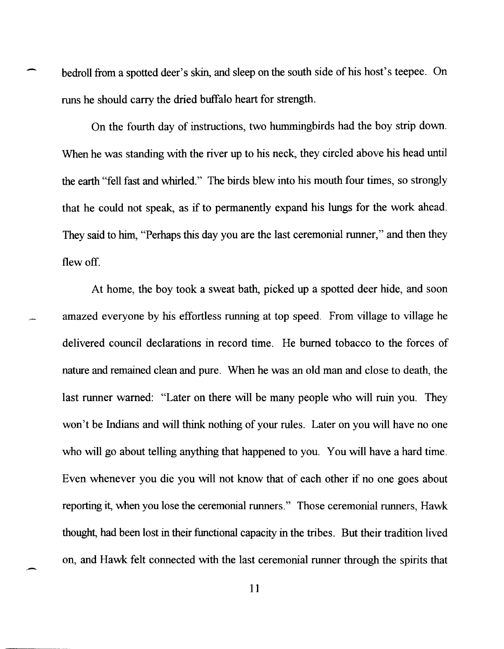bedroll from a spotted deer's skin, and sleep on the south side of his host's teepee. On runs he should carry the dried buffalo heart for strength.

On the fourth day of instructions, two hummingbirds had the boy strip down. When he was standing with the river up to his neck, they circled above his head until the earth "fell fast and whirled." The birds blew into his mouth four times, so strongly that he could not speak, as if to permanently expand his lungs for the work ahead. They said to him, "Perhaps this day you are the last ceremonial runner," and then they flewoff.

At home, the boy took a sweat bath, picked up a spotted deer hide, and soon amazed everyone by his effortless running at top speed. From village to village he delivered council declarations in record time. He burned tobacco to the forces of nature and remained clean and pure. When he was an old man and close to death, the last runner warned: "Later on there will be many people who will ruin you. They won't be Indians and will think nothing of your rules. Later on you will have no one who will go about telling anything that happened to you. You will have a hard time. Even whenever you die you will not know that of each other if no one goes about reporting it, when you lose the ceremonial runners." Those ceremonial runners, Hawk thought, had been lost in their functional capacity in the tribes. But their tradition lived on, and Hawk felt connected with the last ceremonial runner through the spirits that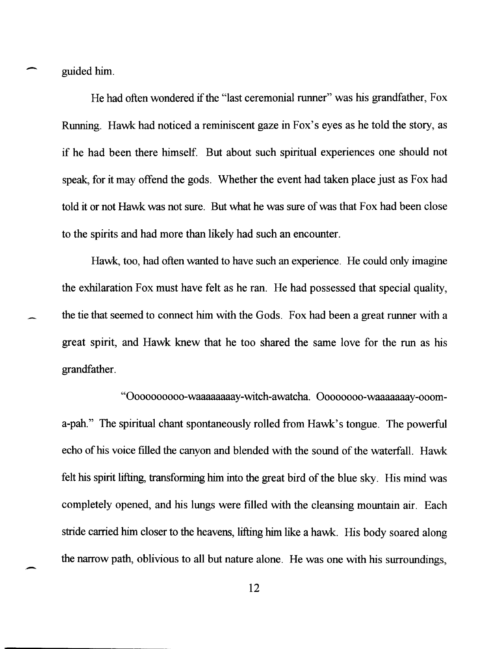guided him.

-

-

He had often wondered if the "last ceremonial runner" was his grandfather, Fox Running. Hawk had noticed a reminiscent gaze in Fox's eyes as he told the story, as if he had been there himself. But about such spiritual experiences one should not speak, for it may offend the gods. Whether the event had taken place just as Fox had told it or not Hawk was not sure. But what he was sure of was that Fox had been close to the spirits and had more than likely had such an encounter.

Hawk, too, had often wanted to have such an experience. He could only imagine the exhilaration Fox must have felt as he ran. He had possessed that special quality, the tie that seemed to connect him with the Gods. Fox had been a great runner with a great spirit, and Hawk knew that he too shared the same love for the run as his grandfather.

"Oooooooooo-waaaaaaaay-witch-awatcha. Oooooooo-waaaaaaay-oooma-pah." The spiritual chant spontaneously rolled from Hawk's tongue. The powerful echo of his voice filled the canyon and blended with the sound of the waterfall. Hawk felt his spirit lifting, transforming him into the great bird of the blue sky. His mind was completely opened, and his lungs were filled with the cleansing mountain air. Each stride carried him closer to the heavens, lifting him like a hawk. His body soared along the narrow path, oblivious to all but nature alone. He was one with his surroundings,

12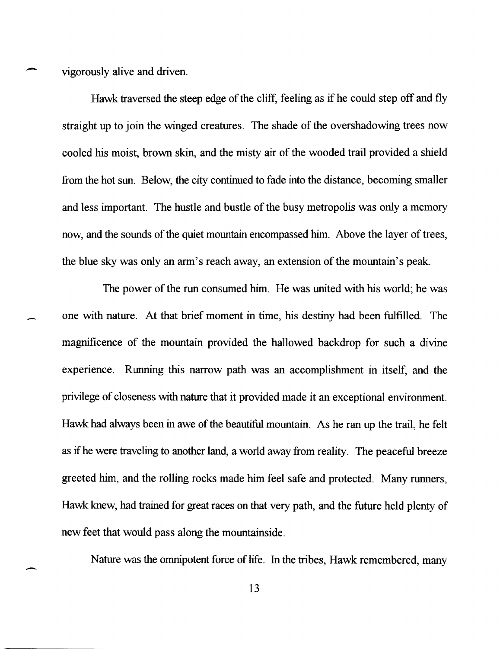vigorously alive and driven.

-

-

Hawk traversed the steep edge of the cliff, feeling as if he could step off and fly straight up to join the winged creatures. The shade of the overshadowing trees now cooled his moist, brown skin, and the misty air of the wooded trail provided a shield from the hot sun. Below, the city continued to fade into the distance, becoming smaller and less important. The hustle and bustle of the busy metropolis was only a memory now, and the sounds of the quiet mountain encompassed him. Above the layer of trees, the blue sky was only an arm's reach away, an extension of the mountain's peak.

The power of the run consumed him. He was united with his world; he was one with nature. At that brief moment in time, his destiny had been fulfilled. The magnificence of the mountain provided the hallowed backdrop for such a divine experience. Running this narrow path was an accomplishment in itself, and the privilege of closeness with nature that it provided made it an exceptional environment. Hawk had always been in awe of the beautiful mountain. As he ran up the trail, he felt as if he were traveling to another land, a world away from reality. The peaceful breeze greeted him, and the rolling rocks made him feel safe and protected. Many runners, Hawk knew, had trained for great races on that very path, and the future held plenty of new feet that would pass along the mountainside.

Nature was the omnipotent force of life. In the tribes, Hawk remembered, many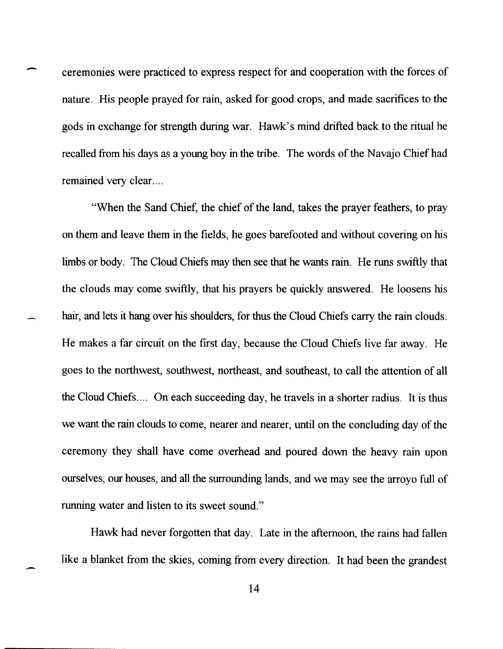- ceremonies were practiced to express respect for and cooperation with the forces of nature. His people prayed for rain, asked for good crops, and made sacrifices to the gods in exchange for strength during war. Hawk's mind drifted back to the ritual he recalled from his days as a young boy in the tribe. The words of the Navajo Chief had remained very clear....

"When the Sand Chief, the chief of the land, takes the prayer feathers, to pray on them and leave them in the fields, he goes barefooted and without covering on his limbs or body. The Cloud Chiefs may then see that he wants rain. He runs swiftly that the clouds may come swiftly, that his prayers be quickly answered. He loosens his hair, and lets it hang over his shoulders, for thus the Cloud Chiefs carry the rain clouds. He makes a far circuit on the first day, because the Cloud Chiefs live far away. He goes to the northwest, southwest, northeast, and southeast, to call the attention of all the Cloud Chiefs .... On each succeeding day, he travels in a shorter radius. It is thus we want the rain clouds to come, nearer and nearer, until on the concluding day of the ceremony they shall have come overhead and poured down the heavy rain upon ourselves, our houses, and all the surrounding lands, and we may see the arroyo full of running water and listen to its sweet sound."

Hawk had never forgotten that day. Late in the afternoon, the rains had fallen like a blanket from the skies, coming from every direction. It had been the grandest

14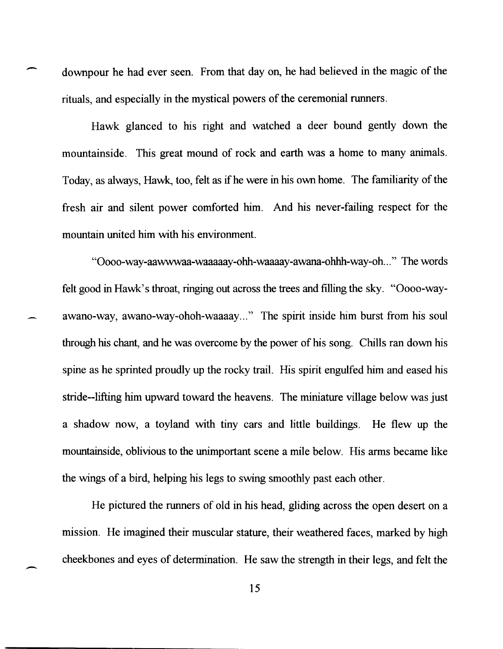downpour he had ever seen. From that day on, he had believed in the magic of the rituals, and especially in the mystical powers of the ceremonial runners.

-

 $\overline{\phantom{0}}$ 

Hawk glanced to his right and watched a deer bound gently down the mountainside. This great mound of rock and earth was a home to many animals. Today, as always, Hawk, too, felt as if he were in his own home. The familiarity of the fresh air and silent power comforted him. And his never-failing respect for the mountain united him with his environment.

"Oooo-way-aawwwaa-waaaaay-ohh-waaaay-awana-ohhh-way-oh ... " The words felt good in Hawk's throat, ringing out across the trees and filling the sky. "Oooo-wayawano-way, awano-way-ohoh-waaaay..." The spirit inside him burst from his soul through his chant, and he was overcome by the power of his song. Chills ran down his spine as he sprinted proudly up the rocky trail. His spirit engulfed him and eased his stride--lifting him upward toward the heavens. The miniature village below was just a shadow now, a toyland with tiny cars and little buildings. He flew up the mountainside, oblivious to the unimportant scene a mile below. His arms became like the wings of a bird, helping his legs to swing smoothly past each other.

He pictured the runners of old in his head, gliding across the open desert on a mission. He imagined their muscular stature, their weathered faces, marked by high cheekbones and eyes of determination. He saw the strength in their legs, and felt the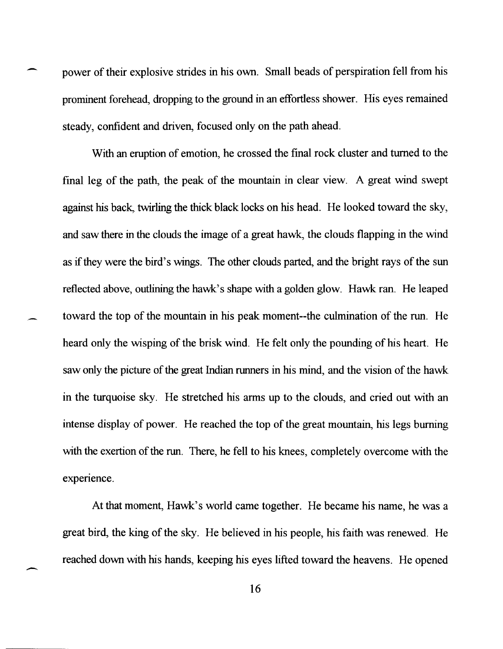power of their explosive strides in his own. Small beads of perspiration fell from his prominent forehead, dropping to the ground in an effortless shower. His eyes remained steady, confident and driven, focused only on the path ahead.

With an eruption of emotion, he crossed the final rock cluster and turned to the final leg of the path, the peak of the mountain in clear view. A great wind swept against his back, twirling the thick black locks on his head. He looked toward the sky, and saw there in the clouds the image of a great hawk, the clouds flapping in the wind as if they were the bird's wings. The other clouds parted, and the bright rays of the sun reflected above, outlining the hawk's shape with a golden glow. Hawk ran. He leaped toward the top of the mountain in his peak moment--the culmination of the run. He heard only the wisping of the brisk wind. He felt only the pounding of his heart. He saw only the picture of the great Indian runners in his mind, and the vision of the hawk in the turquoise sky. He stretched his arms up to the clouds, and cried out with an intense display of power. He reached the top of the great mountain, his legs burning with the exertion of the run. There, he fell to his knees, completely overcome with the experience.

At that moment, Hawk's world came together. He became his name, he was a great bird, the king of the sky. He believed in his people, his faith was renewed. He reached down with his hands, keeping his eyes lifted toward the heavens. He opened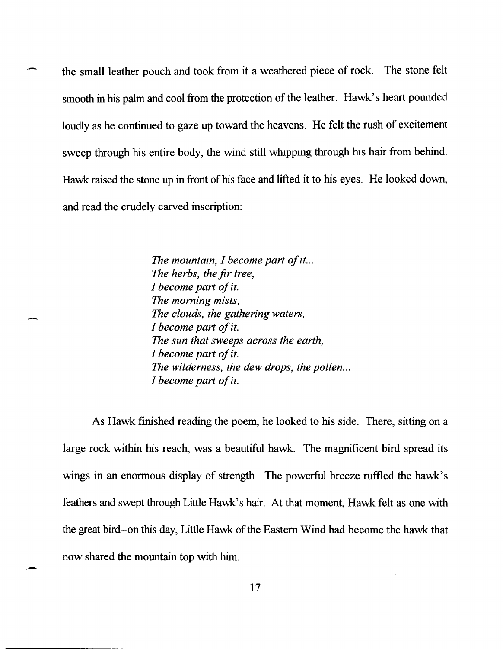the small leather pouch and took from it a weathered piece of rock. The stone felt smooth in his palm and cool from the protection of the leather. Hawk's heart pounded loudly as he continued to gaze up toward the heavens. He felt the rush of excitement sweep through his entire body, the wind still whipping through his hair from behind. Hawk raised the stone up in front of his face and lifted it to his eyes. He looked down, and read the crudely carved inscription:

> *The mountain, I become part of it... The herbs, the fir tree, I become part of* it. *The morning mists, The clouds, the gathering waters, I become part of* it. *The sun that sweeps across the earth, I become part of* it. *The wilderness, the dew drops, the pollen. .. I become part of* it.

As Hawk finished reading the poem, he looked to his side. There, sitting on a large rock within his reach, was a beautiful hawk. The magnificent bird spread its wings in an enormous display of strength. The powerful breeze ruffled the hawk's feathers and swept through Little Hawk's hair. At that moment, Hawk felt as one with the great bird--on this day, Little Hawk of the Eastern Wind had become the hawk that now shared the mountain top with him.